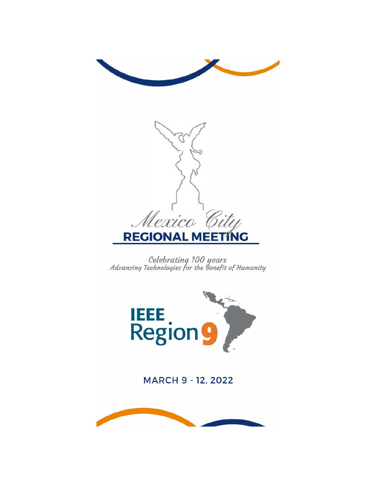

Celebrating 100 years<br>Advancing Technologies for the Benefit of Humanity



MARCH 9 - 12, 2022

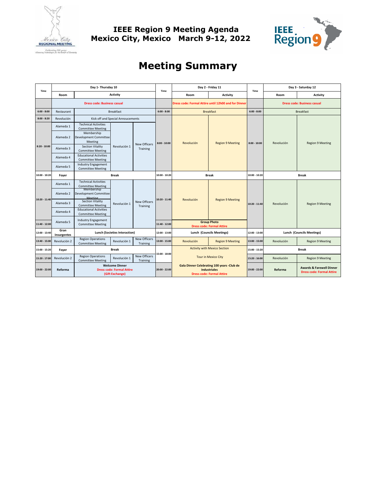

**IEEE Region 9 Meeting Agenda Mexico City, Mexico March 9-12, 2022** 



# **Meeting Summary**

| Time            | Day 1- Thursday 10  |                                                           |                                                                              |                                 | Time                                | Day 2 - Friday 11                                                                                     |                                                        | Time                             | Day 3 - Saturday 12                |                                                                         |
|-----------------|---------------------|-----------------------------------------------------------|------------------------------------------------------------------------------|---------------------------------|-------------------------------------|-------------------------------------------------------------------------------------------------------|--------------------------------------------------------|----------------------------------|------------------------------------|-------------------------------------------------------------------------|
|                 | Room                |                                                           | <b>Activity</b>                                                              |                                 |                                     | Room                                                                                                  | <b>Activity</b>                                        |                                  | Room                               | <b>Activity</b>                                                         |
|                 |                     | <b>Dress code: Business casual</b>                        |                                                                              |                                 |                                     | Dress code: Formal Attire until 12h00 and for Dinner                                                  |                                                        |                                  | <b>Dress code: Business casual</b> |                                                                         |
| $6:00 - 8:00$   | Restaurant          |                                                           | <b>Breakfast</b>                                                             |                                 | $6:00 - 8:00$                       | <b>Breakfast</b>                                                                                      |                                                        | $6:00 - 8:00$                    | <b>Breakfast</b>                   |                                                                         |
| $8:00 - 8:20$   | Revolución          | Kick off and Special Annoucements                         |                                                                              |                                 |                                     |                                                                                                       |                                                        |                                  |                                    |                                                                         |
| $8:20 - 10:00$  | Alameda 1           | <b>Technical Activities</b><br><b>Committee Meeting</b>   | Revolución 1                                                                 | <b>New Officers</b><br>Training | $8:00 - 10:00$                      | Revolución                                                                                            | <b>Region 9 Meeting</b>                                | $8:00 - 10:00$                   | Revolución                         | <b>Region 9 Meeting</b>                                                 |
|                 | Alameda 2           | Membership<br>Development Committee<br>Meeting            |                                                                              |                                 |                                     |                                                                                                       |                                                        |                                  |                                    |                                                                         |
|                 | Alameda 3           | <b>Section Vitality</b><br><b>Committee Meeting</b>       |                                                                              |                                 |                                     |                                                                                                       |                                                        |                                  |                                    |                                                                         |
|                 | Alameda 4           | <b>Educational Activities</b><br><b>Committee Meeting</b> |                                                                              |                                 |                                     |                                                                                                       |                                                        |                                  |                                    |                                                                         |
|                 | Alameda 5           | Industry Engagement<br><b>Committee Meeting</b>           |                                                                              |                                 |                                     |                                                                                                       |                                                        |                                  |                                    |                                                                         |
| 10:00 - 10:20   | Foyer               | <b>Break</b>                                              |                                                                              |                                 | 10:00 - 10:20                       | <b>Break</b>                                                                                          |                                                        | $10:00 - 10:20$                  | Break                              |                                                                         |
|                 | Alameda 1           | <b>Technical Activities</b><br><b>Committee Meeting</b>   |                                                                              | <b>New Officers</b><br>Training | $10:20 - 11:40$                     | Revolución                                                                                            | <b>Region 9 Meeting</b>                                | $10:20 - 11:40$                  | Revolución                         | <b>Region 9 Meeting</b>                                                 |
|                 | Alameda 2           | Membership<br>Development Committee<br>Meeting            | Revolución 1                                                                 |                                 |                                     |                                                                                                       |                                                        |                                  |                                    |                                                                         |
| $10:20 - 11:40$ | Alameda 3           | <b>Section Vitality</b><br><b>Committee Meeting</b>       |                                                                              |                                 |                                     |                                                                                                       |                                                        |                                  |                                    |                                                                         |
|                 | Alameda 4           | <b>Educational Activities</b><br><b>Committee Meeting</b> |                                                                              |                                 |                                     |                                                                                                       |                                                        |                                  |                                    |                                                                         |
| 11:40 - 12:00   | Alameda 5           | Industry Engagement<br><b>Committee Meeting</b>           |                                                                              |                                 | 11:40 - 12:00                       |                                                                                                       | <b>Group Photo</b><br><b>Dress code: Formal Attire</b> |                                  |                                    |                                                                         |
| 12:00 - 13:40   | Gran<br>Insurgentes | Lunch (Societies Interaction)                             |                                                                              | 12:00 - 13:00                   | Lunch (Councils Meetings)           |                                                                                                       | 12:00 - 13:00                                          | <b>Lunch (Councils Meetings)</b> |                                    |                                                                         |
| 13:40 - 15:00   | Revolución 2        | <b>Region Operations</b><br><b>Committee Meeting</b>      | Revolución 1                                                                 | <b>New Officers</b><br>Training | 13:00 - 15:00                       | Revolución                                                                                            | <b>Region 9 Meeting</b>                                | 13:00 - 15:00                    | Revolución                         | <b>Region 9 Meeting</b>                                                 |
| 15:00 - 15:20   | Foyer               | <b>Break</b>                                              |                                                                              | 15:00 - 18:00                   | <b>Activity with Mexico Section</b> |                                                                                                       | 15:00 - 15:20                                          | <b>Break</b>                     |                                    |                                                                         |
| 15:20:17:00     | Revolución 2        | <b>Region Operations</b><br><b>Committee Meeting</b>      | Revolución 1                                                                 | <b>New Officers</b><br>Training |                                     |                                                                                                       | <b>Tour in Mexico City</b>                             | 15:20:16:00                      | Revolución                         | <b>Region 9 Meeting</b>                                                 |
| 19:00 - 22:00   | Reforma             |                                                           | <b>Welcome Dinner</b><br><b>Dress code: Formal Attire</b><br>(Gift Exchange) |                                 | 20:00 - 22:00                       | Gala Dinner Celebrating 100 years -Club de<br><b>Industriales</b><br><b>Dress code: Formal Attire</b> |                                                        | 19:00 - 22:00                    | Reforma                            | <b>Awards &amp; Farewell Dinner</b><br><b>Dress code: Formal Attire</b> |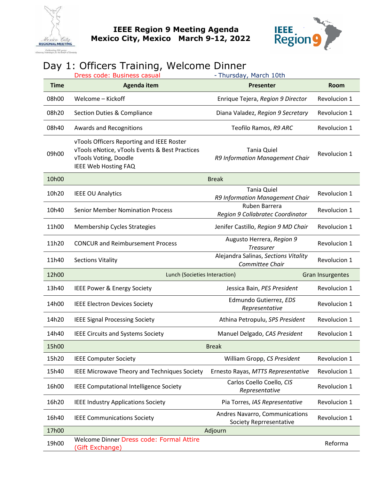



# Day 1: Officers Training, Welcome Dinner

|             | Dress code: Business casual                                                                                                                         | - Thursday, March 10th                                    |              |  |  |
|-------------|-----------------------------------------------------------------------------------------------------------------------------------------------------|-----------------------------------------------------------|--------------|--|--|
| <b>Time</b> | <b>Agenda item</b>                                                                                                                                  | <b>Presenter</b>                                          | <b>Room</b>  |  |  |
| 08h00       | Welcome - Kickoff                                                                                                                                   | Enrique Tejera, Region 9 Director                         | Revolucion 1 |  |  |
| 08h20       | Section Duties & Compliance                                                                                                                         | Diana Valadez, Region 9 Secretary                         | Revolucion 1 |  |  |
| 08h40       | Awards and Recognitions                                                                                                                             | Teofilo Ramos, R9 ARC                                     | Revolucion 1 |  |  |
| 09h00       | vTools Officers Reporting and IEEE Roster<br>vTools eNotice, vTools Events & Best Practices<br>vTools Voting, Doodle<br><b>IEEE Web Hosting FAQ</b> | <b>Tania Quiel</b><br>R9 Information Management Chair     | Revolucion 1 |  |  |
| 10h00       | <b>Break</b>                                                                                                                                        |                                                           |              |  |  |
| 10h20       | <b>IEEE OU Analytics</b>                                                                                                                            | <b>Tania Quiel</b><br>R9 Information Management Chair     | Revolucion 1 |  |  |
| 10h40       | <b>Senior Member Nomination Process</b>                                                                                                             | Ruben Barrera<br>Region 9 Collabratec Coordinator         | Revolucion 1 |  |  |
| 11h00       | Membership Cycles Strategies                                                                                                                        | Jenifer Castillo, Region 9 MD Chair                       | Revolucion 1 |  |  |
| 11h20       | <b>CONCUR and Reimbursement Process</b>                                                                                                             | Augusto Herrera, Region 9<br><b>Treasurer</b>             | Revolucion 1 |  |  |
| 11h40       | <b>Sections Vitality</b>                                                                                                                            | Alejandra Salinas, Sections Vitality<br>Committee Chair   | Revolucion 1 |  |  |
| 12h00       | Lunch (Societies Interaction)                                                                                                                       | <b>Gran Insurgentes</b>                                   |              |  |  |
| 13h40       | IEEE Power & Energy Society                                                                                                                         | Jessica Bain, PES President                               | Revolucion 1 |  |  |
| 14h00       | <b>IEEE Electron Devices Society</b>                                                                                                                | Edmundo Gutierrez, EDS<br>Representative                  | Revolucion 1 |  |  |
| 14h20       | <b>IEEE Signal Processing Society</b>                                                                                                               | Athina Petropulu, SPS President                           | Revolucion 1 |  |  |
| 14h40       | <b>IEEE Circuits and Systems Society</b>                                                                                                            | Manuel Delgado, CAS President                             | Revolucion 1 |  |  |
| 15h00       | <b>Break</b>                                                                                                                                        |                                                           |              |  |  |
| 15h20       | <b>IEEE Computer Society</b>                                                                                                                        | William Gropp, CS President                               | Revolucion 1 |  |  |
| 15h40       | IEEE Microwave Theory and Techniques Society                                                                                                        | Ernesto Rayas, MTTS Representative                        | Revolucion 1 |  |  |
| 16h00       | IEEE Computational Intelligence Society                                                                                                             | Carlos Coello Coello, CIS<br>Representative               | Revolucion 1 |  |  |
| 16h20       | <b>IEEE Industry Applications Society</b>                                                                                                           | Pia Torres, IAS Representative                            | Revolucion 1 |  |  |
| 16h40       | <b>IEEE Communications Society</b>                                                                                                                  | Andres Navarro, Communications<br>Society Reprresentative | Revolucion 1 |  |  |
| 17h00       |                                                                                                                                                     | Adjourn                                                   |              |  |  |
| 19h00       | Welcome Dinner Dress code: Formal Attire<br>(Gift Exchange)                                                                                         |                                                           | Reforma      |  |  |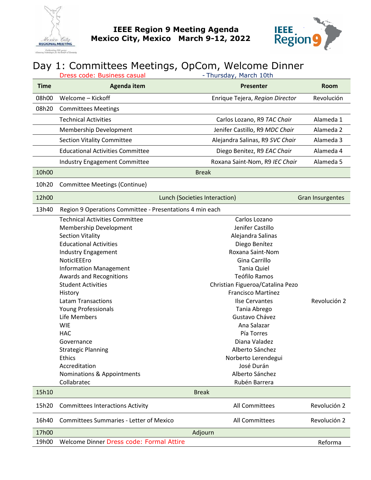



# Day 1: Committees Meetings, OpCom, Welcome Dinner

|             | - Thursday, March 10th<br>Dress code: Business casual    |                                  |                         |  |
|-------------|----------------------------------------------------------|----------------------------------|-------------------------|--|
| <b>Time</b> | <b>Agenda item</b>                                       | <b>Presenter</b>                 | <b>Room</b>             |  |
| 08h00       | Welcome - Kickoff                                        | Enrique Tejera, Region Director  | Revolución              |  |
| 08h20       | <b>Committees Meetings</b>                               |                                  |                         |  |
|             | <b>Technical Activities</b>                              | Carlos Lozano, R9 TAC Chair      | Alameda 1               |  |
|             | Membership Development                                   | Jenifer Castillo, R9 MDC Chair   | Alameda 2               |  |
|             | <b>Section Vitality Committee</b>                        | Alejandra Salinas, R9 SVC Chair  | Alameda 3               |  |
|             | <b>Educational Activities Committee</b>                  | Diego Benitez, R9 EAC Chair      | Alameda 4               |  |
|             | Industry Engagement Committee                            | Roxana Saint-Nom, R9 IEC Chair   | Alameda 5               |  |
| 10h00       |                                                          | <b>Break</b>                     |                         |  |
| 10h20       | Committee Meetings (Continue)                            |                                  |                         |  |
| 12h00       |                                                          | Lunch (Societies Interaction)    | <b>Gran Insurgentes</b> |  |
| 13h40       | Region 9 Operations Committee - Presentations 4 min each |                                  |                         |  |
|             | <b>Technical Activities Committee</b>                    | Carlos Lozano                    |                         |  |
|             | Membership Development                                   | Jenifer Castillo                 |                         |  |
|             | <b>Section Vitality</b>                                  | Alejandra Salinas                |                         |  |
|             | <b>Educational Activities</b>                            | Diego Benítez                    |                         |  |
|             | Industry Engagement                                      | Roxana Saint-Nom                 |                         |  |
|             | NoticlEEEro                                              | Gina Carrillo                    |                         |  |
|             | <b>Information Management</b>                            | <b>Tania Quiel</b>               |                         |  |
|             | Awards and Recognitions                                  | Teófilo Ramos                    |                         |  |
|             | <b>Student Activities</b>                                | Christian Figueroa/Catalina Pezo |                         |  |
|             | History                                                  | Francisco Martínez               |                         |  |
|             | <b>Latam Transactions</b>                                | <b>Ilse Cervantes</b>            | Revolución 2            |  |
|             | Young Professionals                                      | Tania Abrego                     |                         |  |
|             | Life Members                                             | Gustavo Chávez                   |                         |  |
|             | <b>WIE</b>                                               | Ana Salazar                      |                         |  |
|             | <b>HAC</b>                                               | Pía Torres                       |                         |  |
|             | Governance                                               | Diana Valadez                    |                         |  |
|             | <b>Strategic Planning</b>                                | Alberto Sánchez                  |                         |  |
|             | <b>Ethics</b>                                            | Norberto Lerendegui              |                         |  |
|             | Accreditation                                            | José Durán                       |                         |  |
|             | Nominations & Appointments                               | Alberto Sánchez                  |                         |  |
|             | Collabratec                                              | Rubén Barrera                    |                         |  |
| 15h10       |                                                          | <b>Break</b>                     |                         |  |
| 15h20       | <b>Committees Interactions Activity</b>                  | All Committees                   | Revolución 2            |  |
| 16h40       | <b>Committees Summaries - Letter of Mexico</b>           | All Committees                   | Revolución 2            |  |
| 17h00       | Adjourn                                                  |                                  |                         |  |
| 19h00       | Welcome Dinner Dress code: Formal Attire                 |                                  | Reforma                 |  |
|             |                                                          |                                  |                         |  |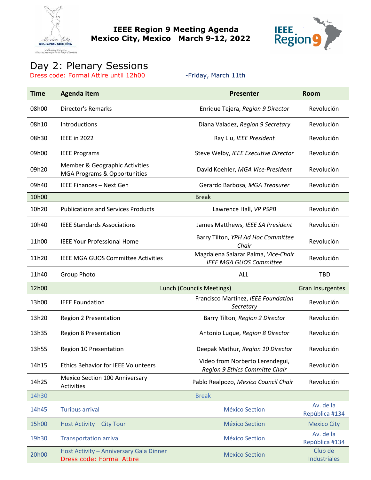

**IEEE Region 9 Meeting Agenda Mexico City, Mexico March 9-12, 2022** 



#### Day 2: Plenary Sessions

Dress code: Formal Attire until 12h00 - Friday, March 11th

| <b>Time</b> | <b>Agenda item</b>                                                   | <b>Presenter</b>                                                      | <b>Room</b>                 |
|-------------|----------------------------------------------------------------------|-----------------------------------------------------------------------|-----------------------------|
| 08h00       | <b>Director's Remarks</b>                                            | Enrique Tejera, Region 9 Director                                     | Revolución                  |
| 08h10       | Introductions                                                        | Diana Valadez, Region 9 Secretary                                     | Revolución                  |
| 08h30       | <b>IEEE</b> in 2022                                                  | Ray Liu, IEEE President                                               | Revolución                  |
| 09h00       | <b>IEEE Programs</b>                                                 | Steve Welby, IEEE Executive Director                                  | Revolución                  |
| 09h20       | Member & Geographic Activities<br>MGA Programs & Opportunities       | David Koehler, MGA Vice-President                                     | Revolución                  |
| 09h40       | <b>IEEE Finances - Next Gen</b>                                      | Gerardo Barbosa, MGA Treasurer                                        | Revolución                  |
| 10h00       |                                                                      | <b>Break</b>                                                          |                             |
| 10h20       | <b>Publications and Services Products</b>                            | Lawrence Hall, VP PSPB                                                | Revolución                  |
| 10h40       | <b>IEEE Standards Associations</b>                                   | James Matthews, IEEE SA President                                     | Revolución                  |
| 11h00       | <b>IEEE Your Professional Home</b>                                   | Barry Tilton, YPH Ad Hoc Committee<br>Chair                           | Revolución                  |
| 11h20       | <b>IEEE MGA GUOS Committee Activities</b>                            | Magdalena Salazar Palma, Vice-Chair<br><b>IEEE MGA GUOS Committee</b> | Revolución                  |
| 11h40       | <b>Group Photo</b>                                                   | ALL                                                                   | <b>TBD</b>                  |
| 12h00       |                                                                      | <b>Lunch (Councils Meetings)</b>                                      | <b>Gran Insurgentes</b>     |
| 13h00       | <b>IEEE Foundation</b>                                               | Francisco Martínez, IEEE Foundation<br>Secretary                      | Revolución                  |
| 13h20       | Region 2 Presentation                                                | Barry Tilton, Region 2 Director                                       | Revolución                  |
| 13h35       | <b>Region 8 Presentation</b>                                         | Antonio Luque, Region 8 Director                                      | Revolución                  |
| 13h55       | Region 10 Presentation                                               | Deepak Mathur, Region 10 Director                                     | Revolución                  |
| 14h15       | <b>Ethics Behavior for IEEE Volunteers</b>                           | Video from Norberto Lerendegui,<br>Region 9 Ethics Committe Chair     | Revolución                  |
| 14h25       | Mexico Section 100 Anniversary<br>Activities                         | Pablo Realpozo, Mexico Council Chair                                  | Revolución                  |
| 14h30       |                                                                      | <b>Break</b>                                                          |                             |
| 14h45       | <b>Turibus arrival</b>                                               | <b>México Section</b>                                                 | Av. de la<br>República #134 |
| 15h00       | Host Activity - City Tour                                            | <b>México Section</b>                                                 | <b>Mexico City</b>          |
| 19h30       | <b>Transportation arrival</b>                                        | <b>México Section</b>                                                 | Av. de la<br>República #134 |
| 20h00       | Host Activity - Anniversary Gala Dinner<br>Dress code: Formal Attire | <b>Mexico Section</b>                                                 | Club de<br>Industriales     |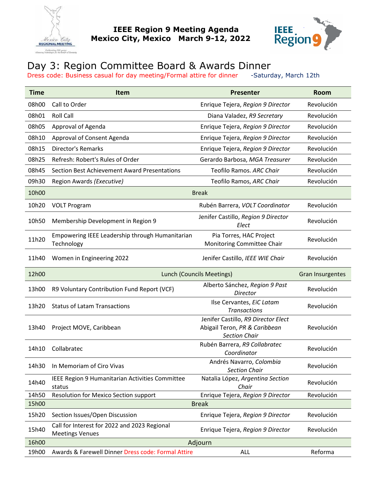



# Day 3: Region Committee Board & Awards Dinner

Dress code: Business casual for day meeting/Formal attire for dinner -Saturday, March 12th

| <b>Time</b> | <b>Item</b>                                                            | <b>Presenter</b>                                                                             | <b>Room</b> |  |
|-------------|------------------------------------------------------------------------|----------------------------------------------------------------------------------------------|-------------|--|
| 08h00       | Call to Order                                                          | Enrique Tejera, Region 9 Director                                                            | Revolución  |  |
| 08h01       | <b>Roll Call</b>                                                       | Diana Valadez, R9 Secretary                                                                  | Revolución  |  |
| 08h05       | Approval of Agenda                                                     | Enrique Tejera, Region 9 Director                                                            | Revolución  |  |
| 08h10       | Approval of Consent Agenda                                             | Enrique Tejera, Region 9 Director                                                            | Revolución  |  |
| 08h15       | Director's Remarks                                                     | Enrique Tejera, Region 9 Director                                                            | Revolución  |  |
| 08h25       | Refresh: Robert's Rules of Order                                       | Gerardo Barbosa, MGA Treasurer                                                               | Revolución  |  |
| 08h45       | Section Best Achievement Award Presentations                           | Teofilo Ramos. ARC Chair                                                                     | Revolución  |  |
| 09h30       | Region Awards (Executive)                                              | Teofilo Ramos, ARC Chair                                                                     | Revolución  |  |
| 10h00       |                                                                        | <b>Break</b>                                                                                 |             |  |
| 10h20       | <b>VOLT Program</b>                                                    | Rubén Barrera, VOLT Coordinator                                                              | Revolución  |  |
| 10h50       | Membership Development in Region 9                                     | Jenifer Castillo, Region 9 Director<br>Elect                                                 | Revolución  |  |
| 11h20       | Empowering IEEE Leadership through Humanitarian<br>Technology          | Pia Torres, HAC Project<br>Monitoring Committee Chair                                        | Revolución  |  |
| 11h40       | Women in Engineering 2022                                              | Jenifer Castillo, IEEE WIE Chair                                                             | Revolución  |  |
| 12h00       | <b>Lunch (Councils Meetings)</b>                                       | <b>Gran Insurgentes</b>                                                                      |             |  |
| 13h00       | R9 Voluntary Contribution Fund Report (VCF)                            | Alberto Sánchez, Region 9 Past<br>Director                                                   | Revolución  |  |
| 13h20       | <b>Status of Latam Transactions</b>                                    | Ilse Cervantes, EiC Latam<br><b>Transactions</b>                                             | Revolución  |  |
| 13h40       | Project MOVE, Caribbean                                                | Jenifer Castillo, R9 Director Elect<br>Abigail Teron, PR & Caribbean<br><b>Section Chair</b> | Revolución  |  |
| 14h10       | Collabratec                                                            | Rubén Barrera, R9 Collabratec<br>Coordinator                                                 | Revolución  |  |
| 14h30       | In Memoriam of Ciro Vivas                                              | Andrés Navarro, Colombia<br><b>Section Chair</b>                                             | Revolución  |  |
| 14h40       | IEEE Region 9 Humanitarian Activities Committee<br>status              | Natalia López, Argentina Section<br>Chair                                                    | Revolución  |  |
| 14h50       | Resolution for Mexico Section support                                  | Enrique Tejera, Region 9 Director                                                            | Revolución  |  |
| 15h00       |                                                                        | <b>Break</b>                                                                                 |             |  |
| 15h20       | Section Issues/Open Discussion                                         | Enrique Tejera, Region 9 Director                                                            | Revolución  |  |
| 15h40       | Call for Interest for 2022 and 2023 Regional<br><b>Meetings Venues</b> | Enrique Tejera, Region 9 Director                                                            | Revolución  |  |
| 16h00       | Adjourn                                                                |                                                                                              |             |  |
| 19h00       | Awards & Farewell Dinner Dress code: Formal Attire                     | <b>ALL</b>                                                                                   | Reforma     |  |